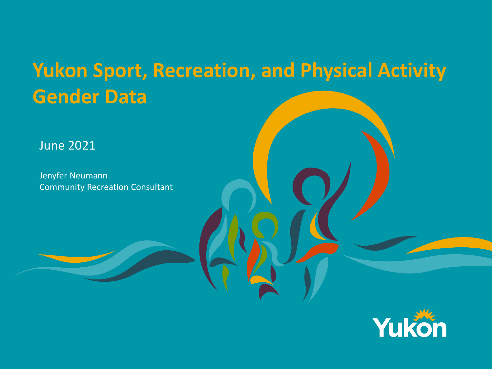#### **Yukon Sport, Recreation, and Physical Activity Gender Data**

June 2021

Jenyfer Neumann Community Recreation Consultant

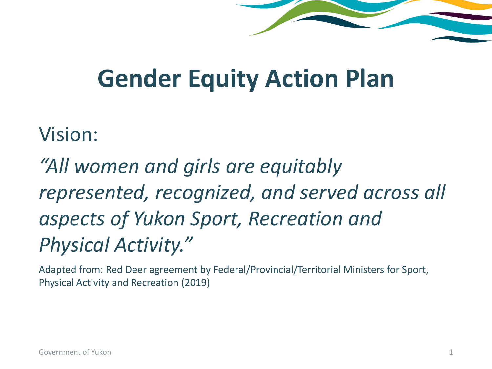#### **Gender Equity Action Plan**

#### Vision:

*"All women and girls are equitably represented, recognized, and served across all aspects of Yukon Sport, Recreation and Physical Activity."*

Adapted from: Red Deer agreement by Federal/Provincial/Territorial Ministers for Sport, Physical Activity and Recreation (2019)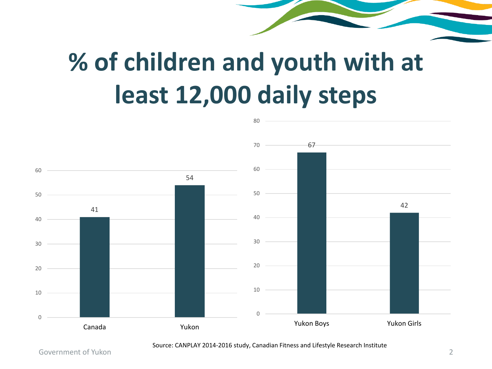## **% of children and youth with at least 12,000 daily steps**



#### Source: CANPLAY 2014-2016 study, Canadian Fitness and Lifestyle Research Institute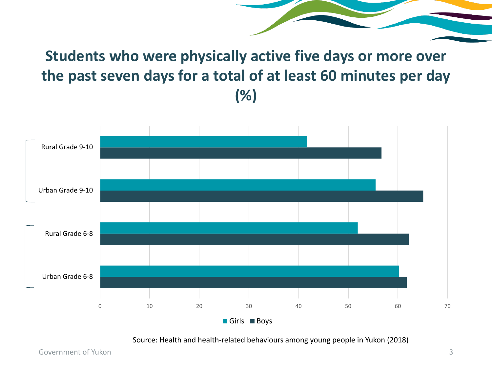**Students who were physically active five days or more over the past seven days for a total of at least 60 minutes per day (%)**



Source: Health and health-related behaviours among young people in Yukon (2018)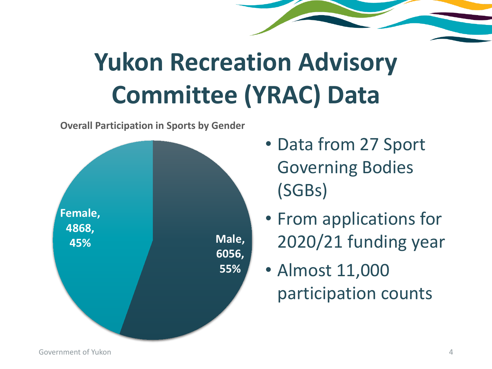# **Yukon Recreation Advisory Committee (YRAC) Data**



**Overall Participation in Sports by Gender**

- Data from 27 Sport Governing Bodies (SGBs)
- From applications for 2020/21 funding year

• Almost 11,000 participation counts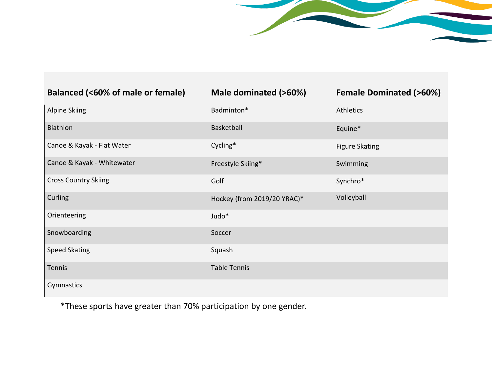| Balanced (<60% of male or female) | Male dominated (>60%)       | <b>Female Dominated (&gt;60%)</b> |
|-----------------------------------|-----------------------------|-----------------------------------|
| <b>Alpine Skiing</b>              | Badminton*                  | Athletics                         |
| Biathlon                          | Basketball                  | Equine*                           |
| Canoe & Kayak - Flat Water        | Cycling*                    | <b>Figure Skating</b>             |
| Canoe & Kayak - Whitewater        | Freestyle Skiing*           | Swimming                          |
| <b>Cross Country Skiing</b>       | Golf                        | Synchro*                          |
| Curling                           | Hockey (from 2019/20 YRAC)* | Volleyball                        |
| Orienteering                      | Judo*                       |                                   |
| Snowboarding                      | Soccer                      |                                   |
| <b>Speed Skating</b>              | Squash                      |                                   |
| Tennis                            | <b>Table Tennis</b>         |                                   |
| Gymnastics                        |                             |                                   |

\*These sports have greater than 70% participation by one gender.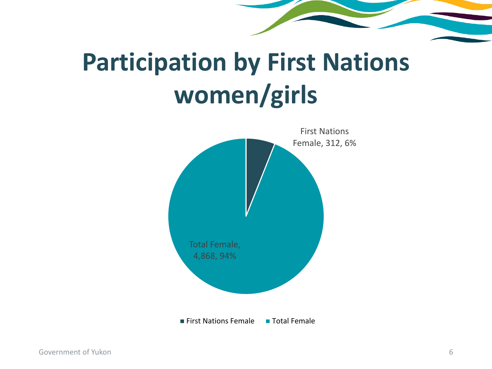## **Participation by First Nations women/girls**

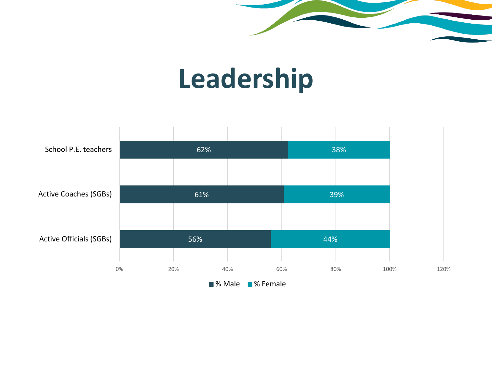

## **Leadership**

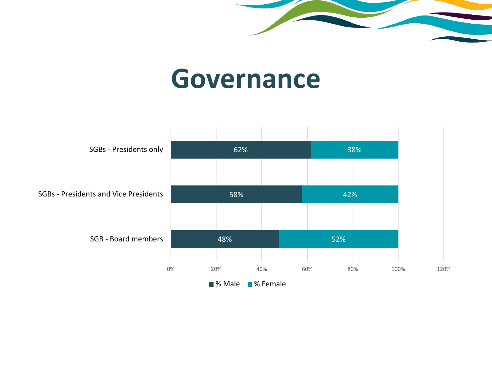

#### **Governance**

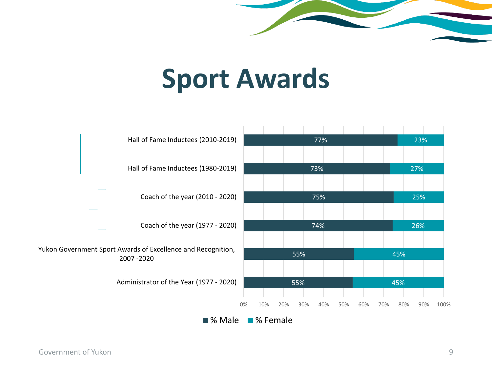

### **Sport Awards**



Government of Yukon 9